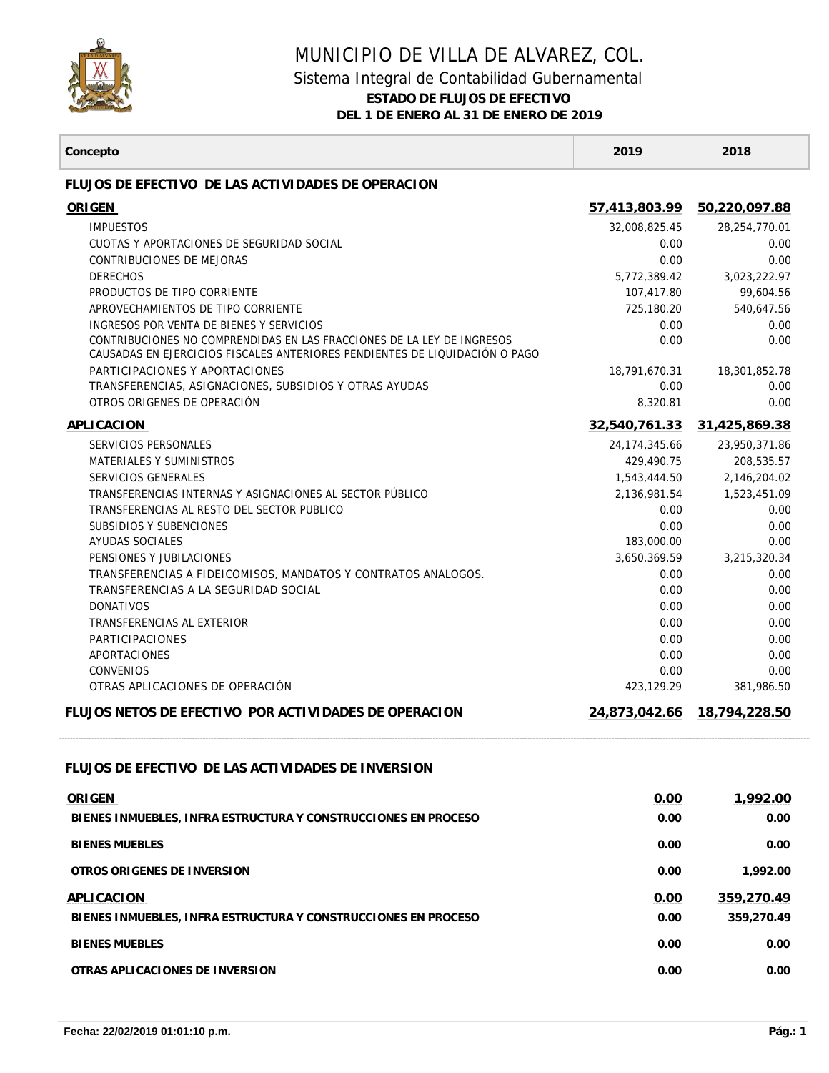

Г

## MUNICIPIO DE VILLA DE ALVAREZ, COL.

## Sistema Integral de Contabilidad Gubernamental

**ESTADO DE FLUJOS DE EFECTIVO**

**DEL 1 DE ENERO AL 31 DE ENERO DE 2019**

| Concepto                                                                                                                                              | 2019            | 2018          |
|-------------------------------------------------------------------------------------------------------------------------------------------------------|-----------------|---------------|
| FLUJOS DE EFECTIVO DE LAS ACTIVIDADES DE OPERACION                                                                                                    |                 |               |
| ORIGEN                                                                                                                                                | 57,413,803.99   | 50,220,097.88 |
| <b>IMPUESTOS</b>                                                                                                                                      | 32,008,825.45   | 28,254,770.01 |
| CUOTAS Y APORTACIONES DE SEGURIDAD SOCIAL                                                                                                             | 0.00            | 0.00          |
| CONTRIBUCIONES DE MEJORAS                                                                                                                             | 0.00            | 0.00          |
| <b>DERECHOS</b>                                                                                                                                       | 5,772,389.42    | 3,023,222.97  |
| PRODUCTOS DE TIPO CORRIENTE                                                                                                                           | 107.417.80      | 99.604.56     |
| APROVECHAMIENTOS DE TIPO CORRIENTE                                                                                                                    | 725,180.20      | 540,647.56    |
| INGRESOS POR VENTA DE BIENES Y SERVICIOS                                                                                                              | 0.00            | 0.00          |
| CONTRIBUCIONES NO COMPRENDIDAS EN LAS FRACCIONES DE LA LEY DE INGRESOS<br>CAUSADAS EN EJERCICIOS FISCALES ANTERIORES PENDIENTES DE LIQUIDACIÓN O PAGO | 0.00            | 0.00          |
| PARTICIPACIONES Y APORTACIONES                                                                                                                        | 18,791,670.31   | 18,301,852.78 |
| TRANSFERENCIAS, ASIGNACIONES, SUBSIDIOS Y OTRAS AYUDAS                                                                                                | 0.00            | 0.00          |
| OTROS ORIGENES DE OPERACIÓN                                                                                                                           | 8,320.81        | 0.00          |
| APLICACION                                                                                                                                            | 32.540.761.33   | 31,425,869.38 |
| SERVICIOS PERSONALES                                                                                                                                  | 24, 174, 345.66 | 23,950,371.86 |
| MATERIALES Y SUMINISTROS                                                                                                                              | 429,490.75      | 208,535.57    |
| SERVICIOS GENERALES                                                                                                                                   | 1,543,444.50    | 2,146,204.02  |
| TRANSFERENCIAS INTERNAS Y ASIGNACIONES AL SECTOR PÚBLICO                                                                                              | 2,136,981.54    | 1,523,451.09  |
| TRANSFERENCIAS AL RESTO DEL SECTOR PUBLICO                                                                                                            | 0.00            | 0.00          |
| SUBSIDIOS Y SUBENCIONES                                                                                                                               | 0.00            | 0.00          |
| AYUDAS SOCIALES                                                                                                                                       | 183,000.00      | 0.00          |
| PENSIONES Y JUBILACIONES                                                                                                                              | 3,650,369.59    | 3,215,320.34  |
| TRANSFERENCIAS A FIDEICOMISOS, MANDATOS Y CONTRATOS ANALOGOS.<br>TRANSFERENCIAS A LA SEGURIDAD SOCIAL                                                 | 0.00<br>0.00    | 0.00<br>0.00  |
| <b>DONATIVOS</b>                                                                                                                                      | 0.00            | 0.00          |
| TRANSFERENCIAS AL EXTERIOR                                                                                                                            | 0.00            | 0.00          |
| <b>PARTICIPACIONES</b>                                                                                                                                | 0.00            | 0.00          |
| APORTACIONES                                                                                                                                          | 0.00            | 0.00          |
| <b>CONVENIOS</b>                                                                                                                                      | 0.00            | 0.00          |
| OTRAS APLICACIONES DE OPERACIÓN                                                                                                                       | 423,129.29      | 381,986.50    |
| FLUJOS NETOS DE FEECTIVO POR ACTIVIDADES DE OPERACION                                                                                                 | 24,873,042.66   | 18,794,228.50 |
|                                                                                                                                                       |                 |               |
| FLUJOS DE EFECTIVO DE LAS ACTIVIDADES DE INVERSION                                                                                                    |                 |               |
| ORIGEN                                                                                                                                                | 0.00            | 1,992.00      |
| BIENES INMUEBLES. INFRA ESTRUCTURA Y CONSTRUCCIONES EN PROCESO                                                                                        | 0.00            | 0.00          |
| <b>BIENES MUEBLES</b>                                                                                                                                 | 0.00            | 0.00          |
| OTROS ORIGENES DE INVERSION                                                                                                                           | 0.00            | 1,992.00      |
| APLICACION                                                                                                                                            | 0.00            | 359,270.49    |
| BIENES INMUEBLES, INFRA ESTRUCTURA Y CONSTRUCCIONES EN PROCESO                                                                                        | 0.00            | 359,270.49    |
|                                                                                                                                                       |                 |               |
| <b>BIENES MUEBLES</b>                                                                                                                                 | 0.00            | 0.00          |
| OTRAS APLICACIONES DE INVERSION                                                                                                                       | 0.00            | 0.00          |